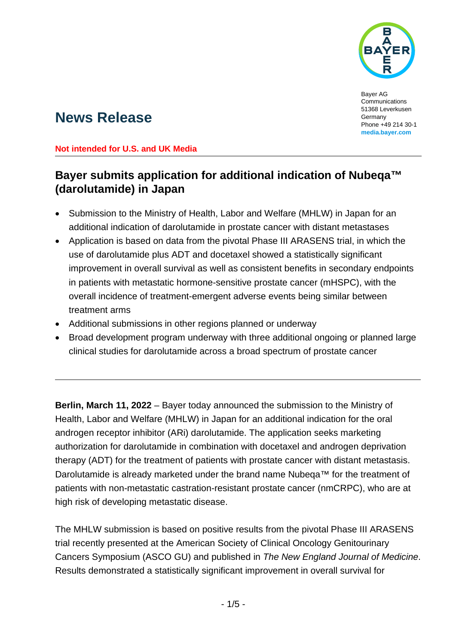

Bayer AG Communications 51368 Leverkusen Germany Phone +49 214 30-1 **[media.bayer.com](http://media.bayer.com/)**

# **News Release**

#### **Not intended for U.S. and UK Media**

## **Bayer submits application for additional indication of Nubeqa™ (darolutamide) in Japan**

- Submission to the Ministry of Health, Labor and Welfare (MHLW) in Japan for an additional indication of darolutamide in prostate cancer with distant metastases
- Application is based on data from the pivotal Phase III ARASENS trial, in which the use of darolutamide plus ADT and docetaxel showed a statistically significant improvement in overall survival as well as consistent benefits in secondary endpoints in patients with metastatic hormone-sensitive prostate cancer (mHSPC), with the overall incidence of treatment-emergent adverse events being similar between treatment arms
- Additional submissions in other regions planned or underway
- Broad development program underway with three additional ongoing or planned large clinical studies for darolutamide across a broad spectrum of prostate cancer

**Berlin, March 11, 2022** – Bayer today announced the submission to the Ministry of Health, Labor and Welfare (MHLW) in Japan for an additional indication for the oral androgen receptor inhibitor (ARi) darolutamide. The application seeks marketing authorization for darolutamide in combination with docetaxel and androgen deprivation therapy (ADT) for the treatment of patients with prostate cancer with distant metastasis. Darolutamide is already marketed under the brand name Nubeqa™ for the treatment of patients with non-metastatic castration-resistant prostate cancer (nmCRPC), who are at high risk of developing metastatic disease.

The MHLW submission is based on positive results from the pivotal Phase III ARASENS trial recently presented at the American Society of Clinical Oncology Genitourinary Cancers Symposium (ASCO GU) and published in *The New England Journal of Medicine*. Results demonstrated a statistically significant improvement in overall survival for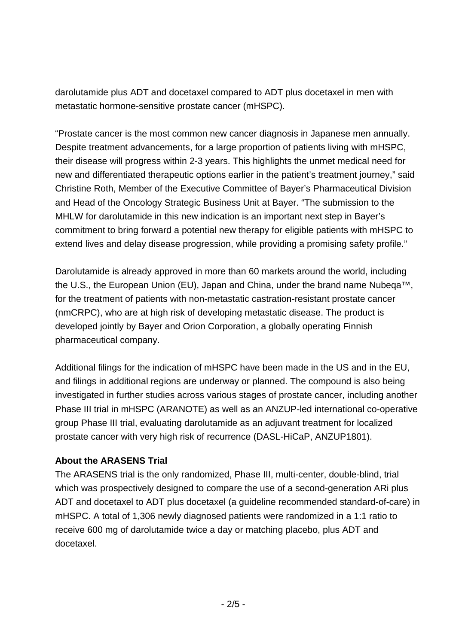darolutamide plus ADT and docetaxel compared to ADT plus docetaxel in men with metastatic hormone-sensitive prostate cancer (mHSPC).

"Prostate cancer is the most common new cancer diagnosis in Japanese men annually. Despite treatment advancements, for a large proportion of patients living with mHSPC, their disease will progress within 2-3 years. This highlights the unmet medical need for new and differentiated therapeutic options earlier in the patient's treatment journey," said Christine Roth, Member of the Executive Committee of Bayer's Pharmaceutical Division and Head of the Oncology Strategic Business Unit at Bayer. "The submission to the MHLW for darolutamide in this new indication is an important next step in Bayer's commitment to bring forward a potential new therapy for eligible patients with mHSPC to extend lives and delay disease progression, while providing a promising safety profile."

Darolutamide is already approved in more than 60 markets around the world, including the U.S., the European Union (EU), Japan and China, under the brand name Nubeqa™, for the treatment of patients with non-metastatic castration-resistant prostate cancer (nmCRPC), who are at high risk of developing metastatic disease. The product is developed jointly by Bayer and Orion Corporation, a globally operating Finnish pharmaceutical company.

Additional filings for the indication of mHSPC have been made in the US and in the EU, and filings in additional regions are underway or planned. The compound is also being investigated in further studies across various stages of prostate cancer, including another Phase III trial in mHSPC (ARANOTE) as well as an ANZUP-led international co-operative group Phase III trial, evaluating darolutamide as an adjuvant treatment for localized prostate cancer with very high risk of recurrence (DASL-HiCaP, ANZUP1801).

## **About the ARASENS Trial**

The ARASENS trial is the only randomized, Phase III, multi-center, double-blind, trial which was prospectively designed to compare the use of a second-generation ARi plus ADT and docetaxel to ADT plus docetaxel (a guideline recommended standard-of-care) in mHSPC. A total of 1,306 newly diagnosed patients were randomized in a 1:1 ratio to receive 600 mg of darolutamide twice a day or matching placebo, plus ADT and docetaxel.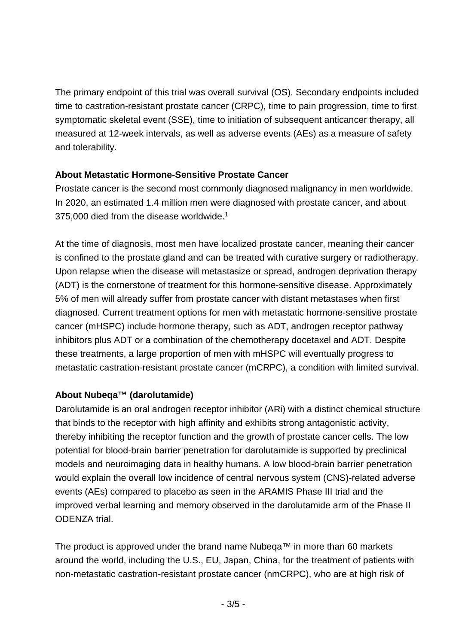The primary endpoint of this trial was overall survival (OS). Secondary endpoints included time to castration-resistant prostate cancer (CRPC), time to pain progression, time to first symptomatic skeletal event (SSE), time to initiation of subsequent anticancer therapy, all measured at 12‐week intervals, as well as adverse events (AEs) as a measure of safety and tolerability.

#### **About Metastatic Hormone-Sensitive Prostate Cancer**

Prostate cancer is the second most commonly diagnosed malignancy in men worldwide. In 2020, an estimated 1.4 million men were diagnosed with prostate cancer, and about 375,000 died from the disease worldwide.1

At the time of diagnosis, most men have localized prostate cancer, meaning their cancer is confined to the prostate gland and can be treated with curative surgery or radiotherapy. Upon relapse when the disease will metastasize or spread, androgen deprivation therapy (ADT) is the cornerstone of treatment for this hormone-sensitive disease. Approximately 5% of men will already suffer from prostate cancer with distant metastases when first diagnosed. Current treatment options for men with metastatic hormone-sensitive prostate cancer (mHSPC) include hormone therapy, such as ADT, androgen receptor pathway inhibitors plus ADT or a combination of the chemotherapy docetaxel and ADT. Despite these treatments, a large proportion of men with mHSPC will eventually progress to metastatic castration-resistant prostate cancer (mCRPC), a condition with limited survival.

## **About Nubeqa™ (darolutamide)**

Darolutamide is an oral androgen receptor inhibitor (ARi) with a distinct chemical structure that binds to the receptor with high affinity and exhibits strong antagonistic activity, thereby inhibiting the receptor function and the growth of prostate cancer cells. The low potential for blood-brain barrier penetration for darolutamide is supported by preclinical models and neuroimaging data in healthy humans. A low blood-brain barrier penetration would explain the overall low incidence of central nervous system (CNS)-related adverse events (AEs) compared to placebo as seen in the ARAMIS Phase III trial and the improved verbal learning and memory observed in the darolutamide arm of the Phase II ODENZA trial.

The product is approved under the brand name Nubeqa™ in more than 60 markets around the world, including the U.S., EU, Japan, China, for the treatment of patients with non-metastatic castration-resistant prostate cancer (nmCRPC), who are at high risk of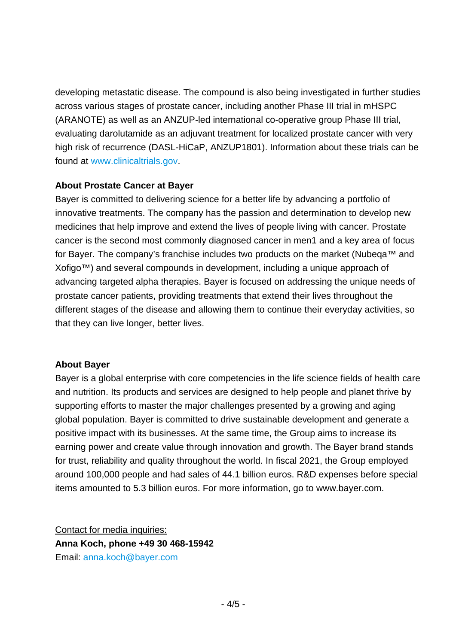developing metastatic disease. The compound is also being investigated in further studies across various stages of prostate cancer, including another Phase III trial in mHSPC (ARANOTE) as well as an ANZUP-led international co-operative group Phase III trial, evaluating darolutamide as an adjuvant treatment for localized prostate cancer with very high risk of recurrence (DASL-HiCaP, ANZUP1801). Information about these trials can be found at [www.clinicaltrials.gov.](https://www.clinicaltrials.gov/)

#### **About Prostate Cancer at Bayer**

Bayer is committed to delivering science for a better life by advancing a portfolio of innovative treatments. The company has the passion and determination to develop new medicines that help improve and extend the lives of people living with cancer. Prostate cancer is the second most commonly diagnosed cancer in men1 and a key area of focus for Bayer. The company's franchise includes two products on the market (Nubeqa™ and Xofigo™) and several compounds in development, including a unique approach of advancing targeted alpha therapies. Bayer is focused on addressing the unique needs of prostate cancer patients, providing treatments that extend their lives throughout the different stages of the disease and allowing them to continue their everyday activities, so that they can live longer, better lives.

#### **About Bayer**

Bayer is a global enterprise with core competencies in the life science fields of health care and nutrition. Its products and services are designed to help people and planet thrive by supporting efforts to master the major challenges presented by a growing and aging global population. Bayer is committed to drive sustainable development and generate a positive impact with its businesses. At the same time, the Group aims to increase its earning power and create value through innovation and growth. The Bayer brand stands for trust, reliability and quality throughout the world. In fiscal 2021, the Group employed around 100,000 people and had sales of 44.1 billion euros. R&D expenses before special items amounted to 5.3 billion euros. For more information, go to [www.bayer.com.](http://www.bayer.com/)

Contact for media inquiries: **Anna Koch, phone +49 30 468-15942** Email: [anna.koch@bayer.com](mailto:anna.koch@bayer.com)